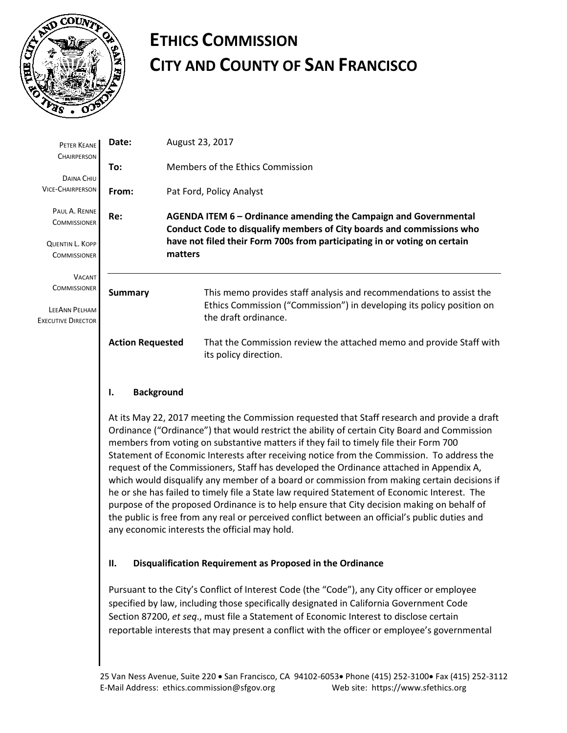

# **ETHICS COMMISSION CITY AND COUNTY OF SAN FRANCISCO**

| PETER KEANE<br><b>CHAIRPERSON</b>                                                  | Date:                   | August 23, 2017                                                                                                                                                      |  |  |
|------------------------------------------------------------------------------------|-------------------------|----------------------------------------------------------------------------------------------------------------------------------------------------------------------|--|--|
| DAINA CHIU                                                                         | To:                     | Members of the Ethics Commission                                                                                                                                     |  |  |
| <b>VICE-CHAIRPERSON</b>                                                            | From:                   | Pat Ford, Policy Analyst                                                                                                                                             |  |  |
| PAUL A. RENNE<br><b>COMMISSIONER</b>                                               | Re:                     | AGENDA ITEM 6 – Ordinance amending the Campaign and Governmental<br>Conduct Code to disqualify members of City boards and commissions who                            |  |  |
| QUENTIN L. KOPP<br><b>COMMISSIONER</b>                                             |                         | have not filed their Form 700s from participating in or voting on certain<br>matters                                                                                 |  |  |
| <b>VACANT</b><br><b>COMMISSIONER</b><br>LEEANN PELHAM<br><b>EXECUTIVE DIRECTOR</b> | <b>Summary</b>          | This memo provides staff analysis and recommendations to assist the<br>Ethics Commission ("Commission") in developing its policy position on<br>the draft ordinance. |  |  |
|                                                                                    | <b>Action Requested</b> | That the Commission review the attached memo and provide Staff with<br>its policy direction.                                                                         |  |  |
|                                                                                    |                         |                                                                                                                                                                      |  |  |

## **I. Background**

At its May 22, 2017 meeting the Commission requested that Staff research and provide a draft Ordinance ("Ordinance") that would restrict the ability of certain City Board and Commission members from voting on substantive matters if they fail to timely file their Form 700 Statement of Economic Interests after receiving notice from the Commission. To address the request of the Commissioners, Staff has developed the Ordinance attached in Appendix A, which would disqualify any member of a board or commission from making certain decisions if he or she has failed to timely file a State law required Statement of Economic Interest. The purpose of the proposed Ordinance is to help ensure that City decision making on behalf of the public is free from any real or perceived conflict between an official's public duties and any economic interests the official may hold.

## **II. Disqualification Requirement as Proposed in the Ordinance**

Pursuant to the City's Conflict of Interest Code (the "Code"), any City officer or employee specified by law, including those specifically designated in California Government Code Section 87200, *et seq*., must file a Statement of Economic Interest to disclose certain reportable interests that may present a conflict with the officer or employee's governmental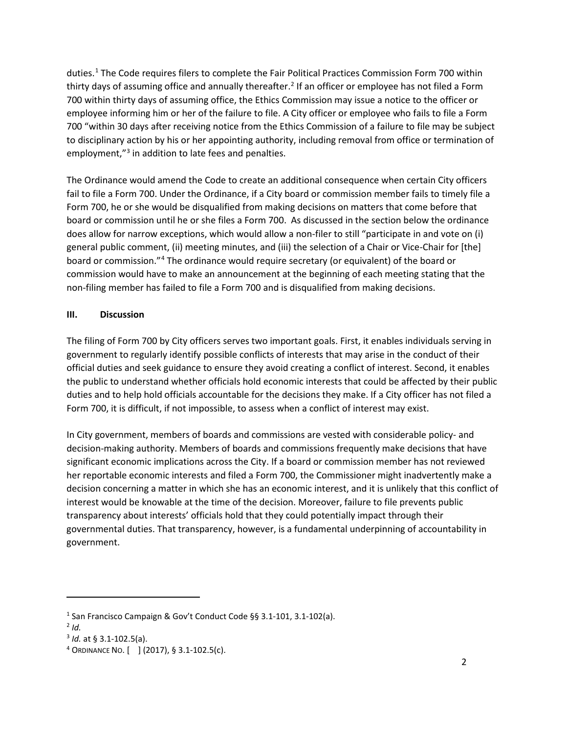duties.<sup>[1](#page-1-0)</sup> The Code requires filers to complete the Fair Political Practices Commission Form 700 within thirty days of assuming office and annually thereafter.<sup>[2](#page-1-1)</sup> If an officer or employee has not filed a Form 700 within thirty days of assuming office, the Ethics Commission may issue a notice to the officer or employee informing him or her of the failure to file. A City officer or employee who fails to file a Form 700 "within 30 days after receiving notice from the Ethics Commission of a failure to file may be subject to disciplinary action by his or her appointing authority, including removal from office or termination of employment,"<sup>[3](#page-1-2)</sup> in addition to late fees and penalties.

The Ordinance would amend the Code to create an additional consequence when certain City officers fail to file a Form 700. Under the Ordinance, if a City board or commission member fails to timely file a Form 700, he or she would be disqualified from making decisions on matters that come before that board or commission until he or she files a Form 700. As discussed in the section below the ordinance does allow for narrow exceptions, which would allow a non-filer to still "participate in and vote on (i) general public comment, (ii) meeting minutes, and (iii) the selection of a Chair or Vice-Chair for [the] board or commission."[4](#page-1-3) The ordinance would require secretary (or equivalent) of the board or commission would have to make an announcement at the beginning of each meeting stating that the non-filing member has failed to file a Form 700 and is disqualified from making decisions.

## **III. Discussion**

The filing of Form 700 by City officers serves two important goals. First, it enables individuals serving in government to regularly identify possible conflicts of interests that may arise in the conduct of their official duties and seek guidance to ensure they avoid creating a conflict of interest. Second, it enables the public to understand whether officials hold economic interests that could be affected by their public duties and to help hold officials accountable for the decisions they make. If a City officer has not filed a Form 700, it is difficult, if not impossible, to assess when a conflict of interest may exist.

In City government, members of boards and commissions are vested with considerable policy- and decision-making authority. Members of boards and commissions frequently make decisions that have significant economic implications across the City. If a board or commission member has not reviewed her reportable economic interests and filed a Form 700, the Commissioner might inadvertently make a decision concerning a matter in which she has an economic interest, and it is unlikely that this conflict of interest would be knowable at the time of the decision. Moreover, failure to file prevents public transparency about interests' officials hold that they could potentially impact through their governmental duties. That transparency, however, is a fundamental underpinning of accountability in government.

 $\overline{\phantom{a}}$ 

<span id="page-1-0"></span><sup>1</sup> San Francisco Campaign & Gov't Conduct Code §§ 3.1-101, 3.1-102(a). 2 *Id.* 

<span id="page-1-1"></span>

<span id="page-1-3"></span><span id="page-1-2"></span><sup>&</sup>lt;sup>3</sup> *Id.* at § 3.1-102.5(a).<br><sup>4</sup> ORDINANCE NO. [ ] (2017), § 3.1-102.5(c).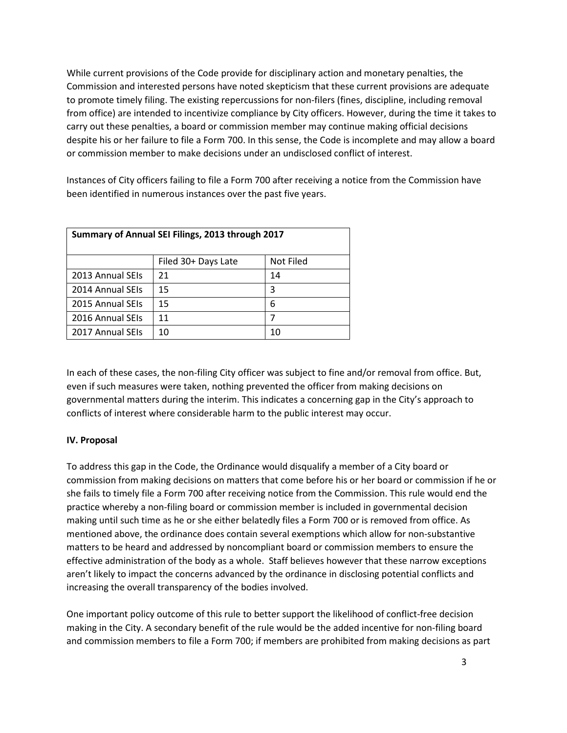While current provisions of the Code provide for disciplinary action and monetary penalties, the Commission and interested persons have noted skepticism that these current provisions are adequate to promote timely filing. The existing repercussions for non-filers (fines, discipline, including removal from office) are intended to incentivize compliance by City officers. However, during the time it takes to carry out these penalties, a board or commission member may continue making official decisions despite his or her failure to file a Form 700. In this sense, the Code is incomplete and may allow a board or commission member to make decisions under an undisclosed conflict of interest.

Instances of City officers failing to file a Form 700 after receiving a notice from the Commission have been identified in numerous instances over the past five years.

| Summary of Annual SEI Filings, 2013 through 2017 |                     |           |  |  |  |
|--------------------------------------------------|---------------------|-----------|--|--|--|
|                                                  | Filed 30+ Days Late | Not Filed |  |  |  |
| 2013 Annual SEIs                                 | 21                  | 14        |  |  |  |
| 2014 Annual SEIs                                 | 15                  | 3         |  |  |  |
| 2015 Annual SEIs                                 | 15                  | 6         |  |  |  |
| 2016 Annual SEIs                                 | 11                  | 7         |  |  |  |
| 2017 Annual SEIs                                 | 10                  | 10        |  |  |  |

In each of these cases, the non-filing City officer was subject to fine and/or removal from office. But, even if such measures were taken, nothing prevented the officer from making decisions on governmental matters during the interim. This indicates a concerning gap in the City's approach to conflicts of interest where considerable harm to the public interest may occur.

#### **IV. Proposal**

To address this gap in the Code, the Ordinance would disqualify a member of a City board or commission from making decisions on matters that come before his or her board or commission if he or she fails to timely file a Form 700 after receiving notice from the Commission. This rule would end the practice whereby a non-filing board or commission member is included in governmental decision making until such time as he or she either belatedly files a Form 700 or is removed from office. As mentioned above, the ordinance does contain several exemptions which allow for non-substantive matters to be heard and addressed by noncompliant board or commission members to ensure the effective administration of the body as a whole. Staff believes however that these narrow exceptions aren't likely to impact the concerns advanced by the ordinance in disclosing potential conflicts and increasing the overall transparency of the bodies involved.

One important policy outcome of this rule to better support the likelihood of conflict-free decision making in the City. A secondary benefit of the rule would be the added incentive for non-filing board and commission members to file a Form 700; if members are prohibited from making decisions as part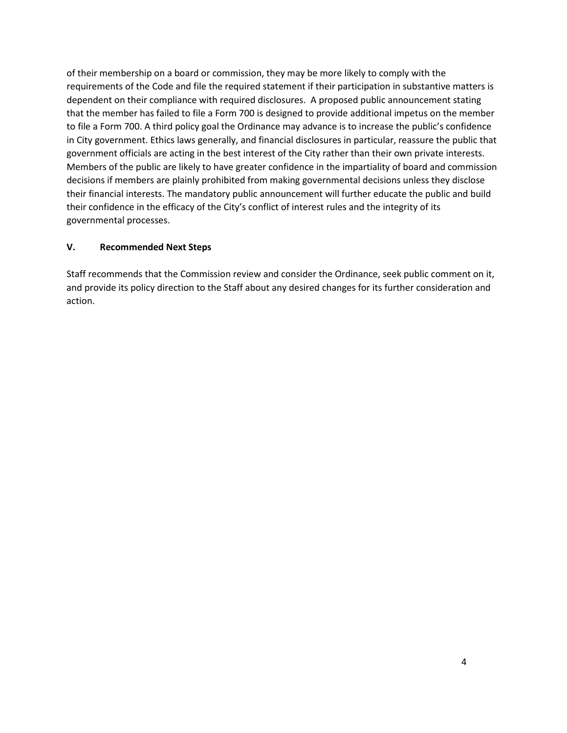of their membership on a board or commission, they may be more likely to comply with the requirements of the Code and file the required statement if their participation in substantive matters is dependent on their compliance with required disclosures. A proposed public announcement stating that the member has failed to file a Form 700 is designed to provide additional impetus on the member to file a Form 700. A third policy goal the Ordinance may advance is to increase the public's confidence in City government. Ethics laws generally, and financial disclosures in particular, reassure the public that government officials are acting in the best interest of the City rather than their own private interests. Members of the public are likely to have greater confidence in the impartiality of board and commission decisions if members are plainly prohibited from making governmental decisions unless they disclose their financial interests. The mandatory public announcement will further educate the public and build their confidence in the efficacy of the City's conflict of interest rules and the integrity of its governmental processes.

#### **V. Recommended Next Steps**

Staff recommends that the Commission review and consider the Ordinance, seek public comment on it, and provide its policy direction to the Staff about any desired changes for its further consideration and action.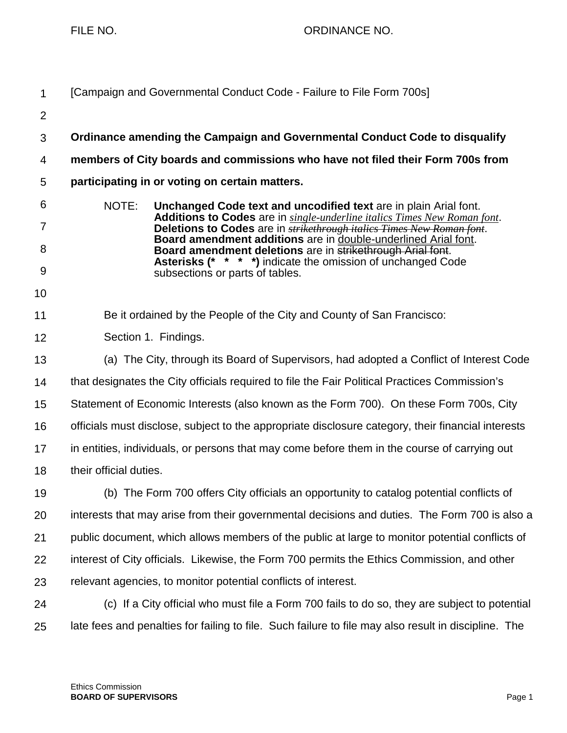| 1              | [Campaign and Governmental Conduct Code - Failure to File Form 700s]                                                                                             |  |  |
|----------------|------------------------------------------------------------------------------------------------------------------------------------------------------------------|--|--|
| $\overline{2}$ |                                                                                                                                                                  |  |  |
| 3              | Ordinance amending the Campaign and Governmental Conduct Code to disqualify                                                                                      |  |  |
| 4              | members of City boards and commissions who have not filed their Form 700s from                                                                                   |  |  |
| 5              | participating in or voting on certain matters.                                                                                                                   |  |  |
| 6              | NOTE:<br>Unchanged Code text and uncodified text are in plain Arial font.                                                                                        |  |  |
| $\overline{7}$ | <b>Additions to Codes</b> are in single-underline italics Times New Roman font.<br>Deletions to Codes are in <b>strikethrough italics Times New Roman font</b> . |  |  |
| 8              | Board amendment additions are in double-underlined Arial font.<br>Board amendment deletions are in strikethrough Arial font.                                     |  |  |
| 9              | Asterisks (* * * *) indicate the omission of unchanged Code<br>subsections or parts of tables.                                                                   |  |  |
| 10             |                                                                                                                                                                  |  |  |
| 11             | Be it ordained by the People of the City and County of San Francisco:                                                                                            |  |  |
| 12             | Section 1. Findings.                                                                                                                                             |  |  |
| 13             | (a) The City, through its Board of Supervisors, had adopted a Conflict of Interest Code                                                                          |  |  |
| 14             | that designates the City officials required to file the Fair Political Practices Commission's                                                                    |  |  |
| 15             | Statement of Economic Interests (also known as the Form 700). On these Form 700s, City                                                                           |  |  |
| 16             | officials must disclose, subject to the appropriate disclosure category, their financial interests                                                               |  |  |
| 17             | in entities, individuals, or persons that may come before them in the course of carrying out                                                                     |  |  |
| 18             | their official duties.                                                                                                                                           |  |  |
| 19             | (b) The Form 700 offers City officials an opportunity to catalog potential conflicts of                                                                          |  |  |
| 20             | interests that may arise from their governmental decisions and duties. The Form 700 is also a                                                                    |  |  |
| 21             | public document, which allows members of the public at large to monitor potential conflicts of                                                                   |  |  |
| 22             | interest of City officials. Likewise, the Form 700 permits the Ethics Commission, and other                                                                      |  |  |
| 23             | relevant agencies, to monitor potential conflicts of interest.                                                                                                   |  |  |
| 24             | (c) If a City official who must file a Form 700 fails to do so, they are subject to potential                                                                    |  |  |
| 25             | late fees and penalties for failing to file. Such failure to file may also result in discipline. The                                                             |  |  |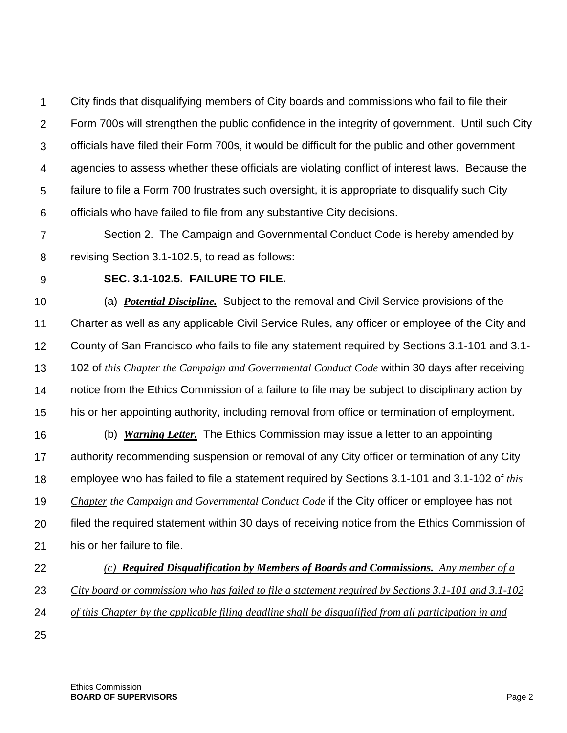1  $\mathcal{P}$ 3 4 5 6 City finds that disqualifying members of City boards and commissions who fail to file their Form 700s will strengthen the public confidence in the integrity of government. Until such City officials have filed their Form 700s, it would be difficult for the public and other government agencies to assess whether these officials are violating conflict of interest laws. Because the failure to file a Form 700 frustrates such oversight, it is appropriate to disqualify such City officials who have failed to file from any substantive City decisions.

- 7 8 Section 2. The Campaign and Governmental Conduct Code is hereby amended by revising Section 3.1-102.5, to read as follows:
- 9

# **SEC. 3.1-102.5. FAILURE TO FILE.**

10 11 12 13 14 15 (a) *Potential Discipline.* Subject to the removal and Civil Service provisions of the Charter as well as any applicable Civil Service Rules, any officer or employee of the City and County of San Francisco who fails to file any statement required by Sections 3.1-101 and 3.1- 102 of *this Chapter the Campaign and Governmental Conduct Code* within 30 days after receiving notice from the Ethics Commission of a failure to file may be subject to disciplinary action by his or her appointing authority, including removal from office or termination of employment.

- 16 17 18 19 20 21 (b) *Warning Letter.* The Ethics Commission may issue a letter to an appointing authority recommending suspension or removal of any City officer or termination of any City employee who has failed to file a statement required by Sections 3.1-101 and 3.1-102 of *this Chapter the Campaign and Governmental Conduct Code* if the City officer or employee has not filed the required statement within 30 days of receiving notice from the Ethics Commission of his or her failure to file.
- 22 *(c) Required Disqualification by Members of Boards and Commissions. Any member of a*
- 23 *City board or commission who has failed to file a statement required by Sections 3.1-101 and 3.1-102*
- 24 *of this Chapter by the applicable filing deadline shall be disqualified from all participation in and*
- 25